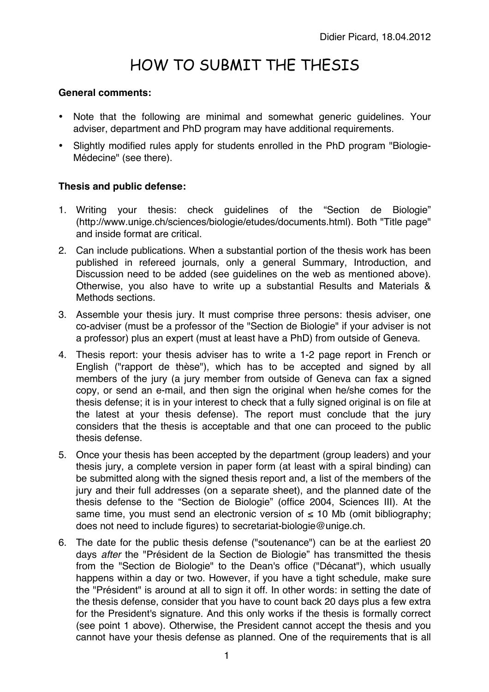## HOW TO SUBMIT THE THESIS

## **General comments:**

- Note that the following are minimal and somewhat generic guidelines. Your adviser, department and PhD program may have additional requirements.
- Slightly modified rules apply for students enrolled in the PhD program "Biologie-Médecine" (see there).

## **Thesis and public defense:**

- 1. Writing your thesis: check guidelines of the "Section de Biologie" (http://www.unige.ch/sciences/biologie/etudes/documents.html). Both "Title page" and inside format are critical.
- 2. Can include publications. When a substantial portion of the thesis work has been published in refereed journals, only a general Summary, Introduction, and Discussion need to be added (see guidelines on the web as mentioned above). Otherwise, you also have to write up a substantial Results and Materials & Methods sections.
- 3. Assemble your thesis jury. It must comprise three persons: thesis adviser, one co-adviser (must be a professor of the "Section de Biologie" if your adviser is not a professor) plus an expert (must at least have a PhD) from outside of Geneva.
- 4. Thesis report: your thesis adviser has to write a 1-2 page report in French or English ("rapport de thèse"), which has to be accepted and signed by all members of the jury (a jury member from outside of Geneva can fax a signed copy, or send an e-mail, and then sign the original when he/she comes for the thesis defense; it is in your interest to check that a fully signed original is on file at the latest at your thesis defense). The report must conclude that the jury considers that the thesis is acceptable and that one can proceed to the public thesis defense.
- 5. Once your thesis has been accepted by the department (group leaders) and your thesis jury, a complete version in paper form (at least with a spiral binding) can be submitted along with the signed thesis report and, a list of the members of the jury and their full addresses (on a separate sheet), and the planned date of the thesis defense to the "Section de Biologie" (office 2004, Sciences III). At the same time, you must send an electronic version of  $\leq$  10 Mb (omit bibliography; does not need to include figures) to secretariat-biologie@unige.ch.
- 6. The date for the public thesis defense ("soutenance") can be at the earliest 20 days *after* the "Président de la Section de Biologie" has transmitted the thesis from the "Section de Biologie" to the Dean's office ("Décanat"), which usually happens within a day or two. However, if you have a tight schedule, make sure the "Président" is around at all to sign it off. In other words: in setting the date of the thesis defense, consider that you have to count back 20 days plus a few extra for the President's signature. And this only works if the thesis is formally correct (see point 1 above). Otherwise, the President cannot accept the thesis and you cannot have your thesis defense as planned. One of the requirements that is all